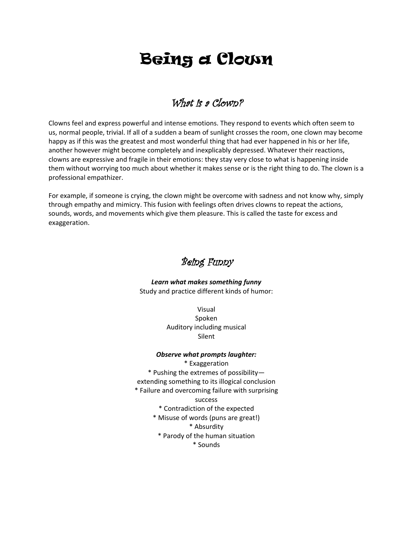# Being a Clown

### What is a Clown?

Clowns feel and express powerful and intense emotions. They respond to events which often seem to us, normal people, trivial. If all of a sudden a beam of sunlight crosses the room, one clown may become happy as if this was the greatest and most wonderful thing that had ever happened in his or her life, another however might become completely and inexplicably depressed. Whatever their reactions, clowns are expressive and fragile in their emotions: they stay very close to what is happening inside them without worrying too much about whether it makes sense or is the right thing to do. The clown is a professional empathizer.

For example, if someone is crying, the clown might be overcome with sadness and not know why, simply through empathy and mimicry. This fusion with feelings often drives clowns to repeat the actions, sounds, words, and movements which give them pleasure. This is called the taste for excess and exaggeration.

### Being Funny

*Learn what makes something funny* Study and practice different kinds of humor:

> Visual Spoken Auditory including musical Silent

#### *Observe what prompts laughter:*

\* Exaggeration

\* Pushing the extremes of possibility extending something to its illogical conclusion \* Failure and overcoming failure with surprising success \* Contradiction of the expected \* Misuse of words (puns are great!) \* Absurdity \* Parody of the human situation \* Sounds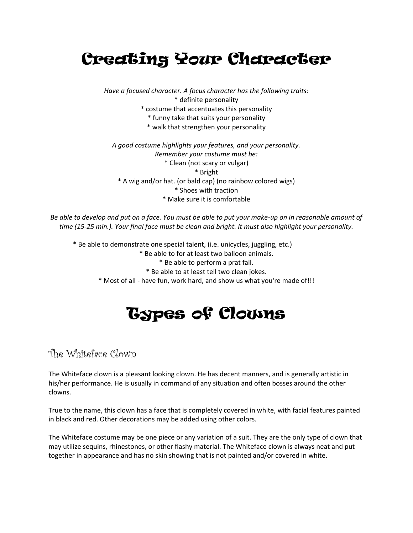# Creating Your Character

*Have a focused character. A focus character has the following traits:* \* definite personality \* costume that accentuates this personality \* funny take that suits your personality \* walk that strengthen your personality *A good costume highlights your features, and your personality. Remember your costume must be:*

\* Clean (not scary or vulgar) \* Bright

\* A wig and/or hat. (or bald cap) (no rainbow colored wigs) \* Shoes with traction \* Make sure it is comfortable

*Be able to develop and put on a face. You must be able to put your make-up on in reasonable amount of time (15-25 min.). Your final face must be clean and bright. It must also highlight your personality.*

\* Be able to demonstrate one special talent, (i.e. unicycles, juggling, etc.) \* Be able to for at least two balloon animals. \* Be able to perform a prat fall. \* Be able to at least tell two clean jokes. \* Most of all - have fun, work hard, and show us what you're made of!!!

## Types of Clowns

The Whiteface Clown

The Whiteface clown is a pleasant looking clown. He has decent manners, and is generally artistic in his/her performance. He is usually in command of any situation and often bosses around the other clowns.

True to the name, this clown has a face that is completely covered in white, with facial features painted in black and red. Other decorations may be added using other colors.

The Whiteface costume may be one piece or any variation of a suit. They are the only type of clown that may utilize sequins, rhinestones, or other flashy material. The Whiteface clown is always neat and put together in appearance and has no skin showing that is not painted and/or covered in white.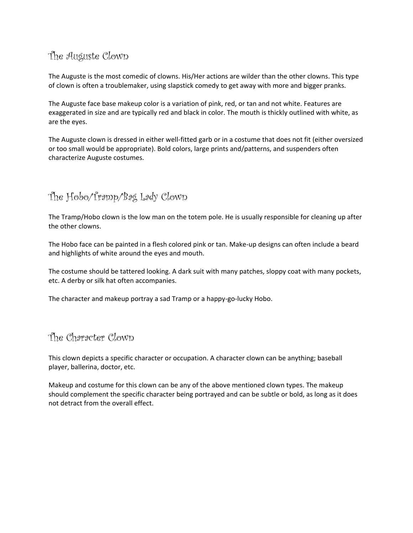### The Auguste Clown

The Auguste is the most comedic of clowns. His/Her actions are wilder than the other clowns. This type of clown is often a troublemaker, using slapstick comedy to get away with more and bigger pranks.

The Auguste face base makeup color is a variation of pink, red, or tan and not white. Features are exaggerated in size and are typically red and black in color. The mouth is thickly outlined with white, as are the eyes.

The Auguste clown is dressed in either well-fitted garb or in a costume that does not fit (either oversized or too small would be appropriate). Bold colors, large prints and/patterns, and suspenders often characterize Auguste costumes.

### The Hobo/Tramp/Bag Lady Clown

The Tramp/Hobo clown is the low man on the totem pole. He is usually responsible for cleaning up after the other clowns.

The Hobo face can be painted in a flesh colored pink or tan. Make-up designs can often include a beard and highlights of white around the eyes and mouth.

The costume should be tattered looking. A dark suit with many patches, sloppy coat with many pockets, etc. A derby or silk hat often accompanies.

The character and makeup portray a sad Tramp or a happy-go-lucky Hobo.

#### The Character Clown

This clown depicts a specific character or occupation. A character clown can be anything; baseball player, ballerina, doctor, etc.

Makeup and costume for this clown can be any of the above mentioned clown types. The makeup should complement the specific character being portrayed and can be subtle or bold, as long as it does not detract from the overall effect.